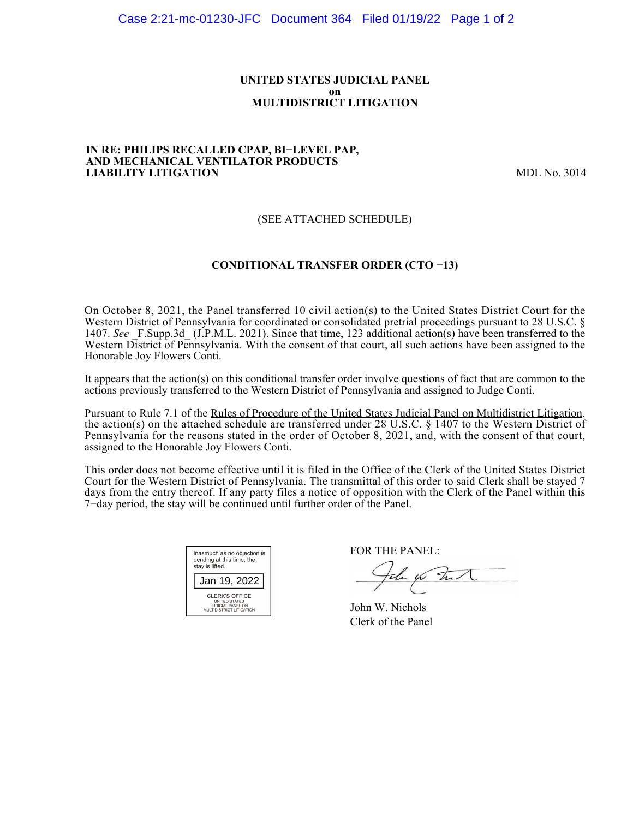### **UNITED STATES JUDICIAL PANEL on MULTIDISTRICT LITIGATION**

#### **IN RE: PHILIPS RECALLED CPAP, BI−LEVEL PAP, AND MECHANICAL VENTILATOR PRODUCTS LIABILITY LITIGATION** MDL No. 3014

## (SEE ATTACHED SCHEDULE)

## **CONDITIONAL TRANSFER ORDER (CTO −13)**

On October 8, 2021, the Panel transferred 10 civil action(s) to the United States District Court for the Western District of Pennsylvania for coordinated or consolidated pretrial proceedings pursuant to 28 U.S.C. § 1407. See F.Supp.3d (J.P.M.L. 2021). Since that time, 123 additional action(s) have been transferred to the Western District of Pennsylvania. With the consent of that court, all such actions have been assigned to the Honorable Joy Flowers Conti.

It appears that the action(s) on this conditional transfer order involve questions of fact that are common to the actions previously transferred to the Western District of Pennsylvania and assigned to Judge Conti.

Pursuant to Rule 7.1 of the Rules of Procedure of the United States Judicial Panel on Multidistrict Litigation, the action(s) on the attached schedule are transferred under 28 U.S.C. § 1407 to the Western District of Pennsylvania for the reasons stated in the order of October 8, 2021, and, with the consent of that court, assigned to the Honorable Joy Flowers Conti.

This order does not become effective until it is filed in the Office of the Clerk of the United States District Court for the Western District of Pennsylvania. The transmittal of this order to said Clerk shall be stayed 7 days from the entry thereof. If any party files a notice of opposition with the Clerk of the Panel within this 7−day period, the stay will be continued until further order of the Panel.

| Inasmuch as no objection is<br>pending at this time, the<br>stay is lifted.      |  |  |  |  |
|----------------------------------------------------------------------------------|--|--|--|--|
| Jan 19, 2022                                                                     |  |  |  |  |
| CLERK'S OFFICE<br>UNITED STATES<br>JUDICIAL PANEL ON<br>MULTIDISTRICT LITIGATION |  |  |  |  |

FOR THE PANEL:

John for Full

John W. Nichols Clerk of the Panel